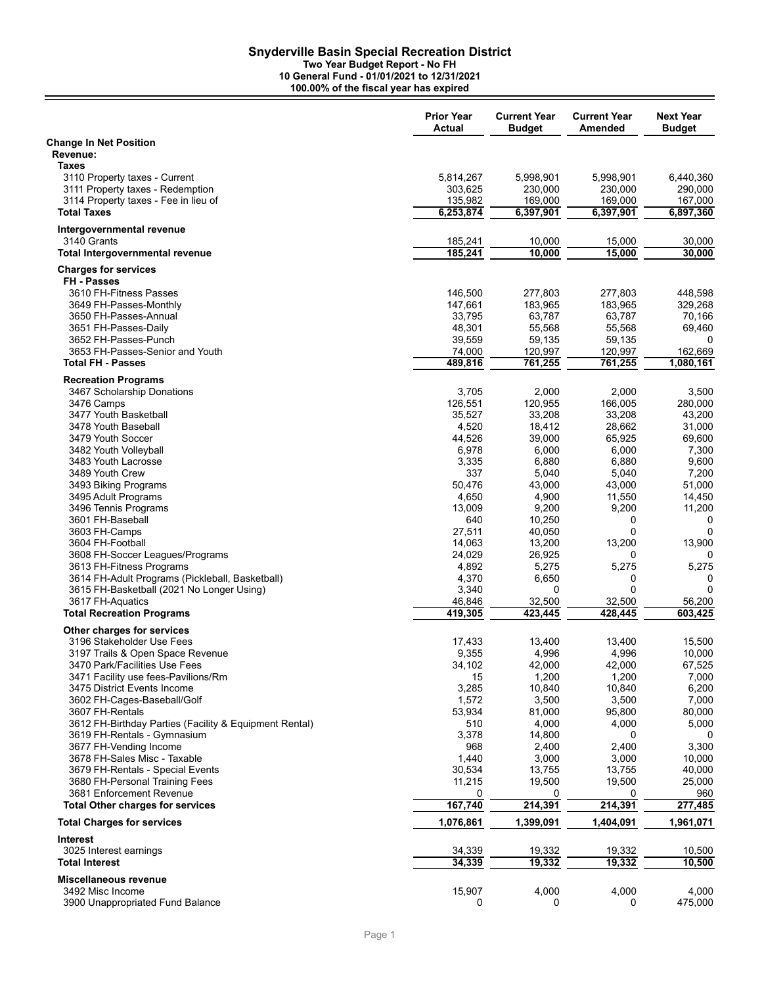**Two Year Budget Report - No FH**

|                                                                    | <b>Prior Year</b><br>Actual | <b>Current Year</b><br><b>Budget</b> | <b>Current Year</b><br>Amended | <b>Next Year</b><br><b>Budget</b> |
|--------------------------------------------------------------------|-----------------------------|--------------------------------------|--------------------------------|-----------------------------------|
| <b>Change In Net Position</b><br>Revenue:                          |                             |                                      |                                |                                   |
| <b>Taxes</b>                                                       |                             |                                      |                                |                                   |
| 3110 Property taxes - Current<br>3111 Property taxes - Redemption  | 5,814,267<br>303,625        | 5,998,901<br>230,000                 | 5,998,901<br>230,000           | 6,440,360<br>290,000              |
| 3114 Property taxes - Fee in lieu of                               | 135,982                     | 169,000                              | 169,000                        | 167,000                           |
| <b>Total Taxes</b>                                                 | 6,253,874                   | 6,397,901                            | 6,397,901                      | 6,897,360                         |
| Intergovernmental revenue                                          |                             |                                      |                                |                                   |
| 3140 Grants                                                        | 185,241                     | 10,000                               | 15,000                         | 30,000                            |
| <b>Total Intergovernmental revenue</b>                             | 185,241                     | 10,000                               | 15,000                         | 30,000                            |
| <b>Charges for services</b><br>FH - Passes                         |                             |                                      |                                |                                   |
| 3610 FH-Fitness Passes                                             | 146,500                     | 277,803                              | 277,803                        | 448,598                           |
| 3649 FH-Passes-Monthly                                             | 147,661                     | 183,965                              | 183,965                        | 329,268                           |
| 3650 FH-Passes-Annual                                              | 33,795                      | 63,787                               | 63,787                         | 70,166                            |
| 3651 FH-Passes-Daily                                               | 48,301                      | 55,568                               | 55,568                         | 69,460                            |
| 3652 FH-Passes-Punch                                               | 39,559                      | 59,135                               | 59,135                         | 0                                 |
| 3653 FH-Passes-Senior and Youth                                    | 74,000                      | 120,997                              | 120,997                        | 162,669                           |
| <b>Total FH - Passes</b>                                           | 489,816                     | 761,255                              | 761,255                        | 1,080,161                         |
| <b>Recreation Programs</b>                                         |                             |                                      |                                |                                   |
| 3467 Scholarship Donations                                         | 3,705                       | 2,000                                | 2,000                          | 3,500                             |
| 3476 Camps                                                         | 126,551                     | 120,955                              | 166,005                        | 280,000                           |
| 3477 Youth Basketball                                              | 35,527                      | 33,208                               | 33,208                         | 43,200                            |
| 3478 Youth Baseball                                                | 4,520                       | 18,412                               | 28,662                         | 31,000                            |
| 3479 Youth Soccer                                                  | 44,526                      | 39,000                               | 65,925                         | 69,600                            |
| 3482 Youth Volleyball                                              | 6,978                       | 6,000                                | 6,000                          | 7,300                             |
| 3483 Youth Lacrosse                                                | 3,335                       | 6,880                                | 6,880                          | 9,600                             |
| 3489 Youth Crew                                                    | 337<br>50,476               | 5,040<br>43,000                      | 5,040<br>43,000                | 7,200<br>51,000                   |
| 3493 Biking Programs<br>3495 Adult Programs                        | 4,650                       | 4,900                                | 11,550                         | 14,450                            |
| 3496 Tennis Programs                                               | 13,009                      | 9,200                                | 9,200                          | 11,200                            |
| 3601 FH-Baseball                                                   | 640                         | 10,250                               | 0                              | 0                                 |
| 3603 FH-Camps                                                      | 27,511                      | 40,050                               | 0                              | 0                                 |
| 3604 FH-Football                                                   | 14,063                      | 13,200                               | 13,200                         | 13,900                            |
| 3608 FH-Soccer Leagues/Programs                                    | 24,029                      | 26,925                               | 0                              | 0                                 |
| 3613 FH-Fitness Programs                                           | 4,892                       | 5,275                                | 5,275                          | 5,275                             |
| 3614 FH-Adult Programs (Pickleball, Basketball)                    | 4,370                       | 6,650                                | 0                              | 0                                 |
| 3615 FH-Basketball (2021 No Longer Using)                          | 3,340                       | 0                                    | 0                              | 0                                 |
| 3617 FH-Aquatics                                                   | 46,846                      | 32,500                               | 32,500                         | 56,200                            |
| <b>Total Recreation Programs</b>                                   | 419,305                     | 423,445                              | 428,445                        | 603,425                           |
| Other charges for services                                         |                             |                                      |                                |                                   |
| 3196 Stakeholder Use Fees                                          | 17,433                      | 13,400                               | 13,400                         | 15,500                            |
| 3197 Trails & Open Space Revenue                                   | 9,355                       | 4,996                                | 4,996                          | 10,000                            |
| 3470 Park/Facilities Use Fees                                      | 34,102                      | 42,000                               | 42,000                         | 67,525                            |
| 3471 Facility use fees-Pavilions/Rm<br>3475 District Events Income | 15<br>3,285                 | 1,200<br>10,840                      | 1,200<br>10,840                | 7,000<br>6,200                    |
| 3602 FH-Cages-Baseball/Golf                                        | 1,572                       | 3,500                                | 3,500                          | 7,000                             |
| 3607 FH-Rentals                                                    | 53,934                      | 81,000                               | 95,800                         | 80,000                            |
| 3612 FH-Birthday Parties (Facility & Equipment Rental)             | 510                         | 4,000                                | 4,000                          | 5,000                             |
| 3619 FH-Rentals - Gymnasium                                        | 3,378                       | 14,800                               | 0                              | 0                                 |
| 3677 FH-Vending Income                                             | 968                         | 2,400                                | 2,400                          | 3,300                             |
| 3678 FH-Sales Misc - Taxable                                       | 1,440                       | 3,000                                | 3,000                          | 10,000                            |
| 3679 FH-Rentals - Special Events                                   | 30,534                      | 13,755                               | 13,755                         | 40,000                            |
| 3680 FH-Personal Training Fees                                     | 11,215                      | 19,500                               | 19,500                         | 25,000                            |
| 3681 Enforcement Revenue                                           | 0                           | 0                                    | 0                              | 960                               |
| <b>Total Other charges for services</b>                            | 167,740                     | 214,391                              | 214,391                        | 277,485                           |
| <b>Total Charges for services</b>                                  | 1,076,861                   | 1,399,091                            | 1,404,091                      | 1,961,071                         |
| <b>Interest</b>                                                    |                             |                                      |                                |                                   |
| 3025 Interest earnings                                             | 34,339                      | 19,332                               | 19,332                         | 10,500                            |
| <b>Total Interest</b>                                              | 34,339                      | 19,332                               | 19,332                         | 10,500                            |
| Miscellaneous revenue<br>3492 Misc Income                          | 15,907                      | 4,000                                | 4,000                          | 4,000                             |
| 3900 Unappropriated Fund Balance                                   | 0                           | 0                                    | 0                              | 475,000                           |
|                                                                    |                             |                                      |                                |                                   |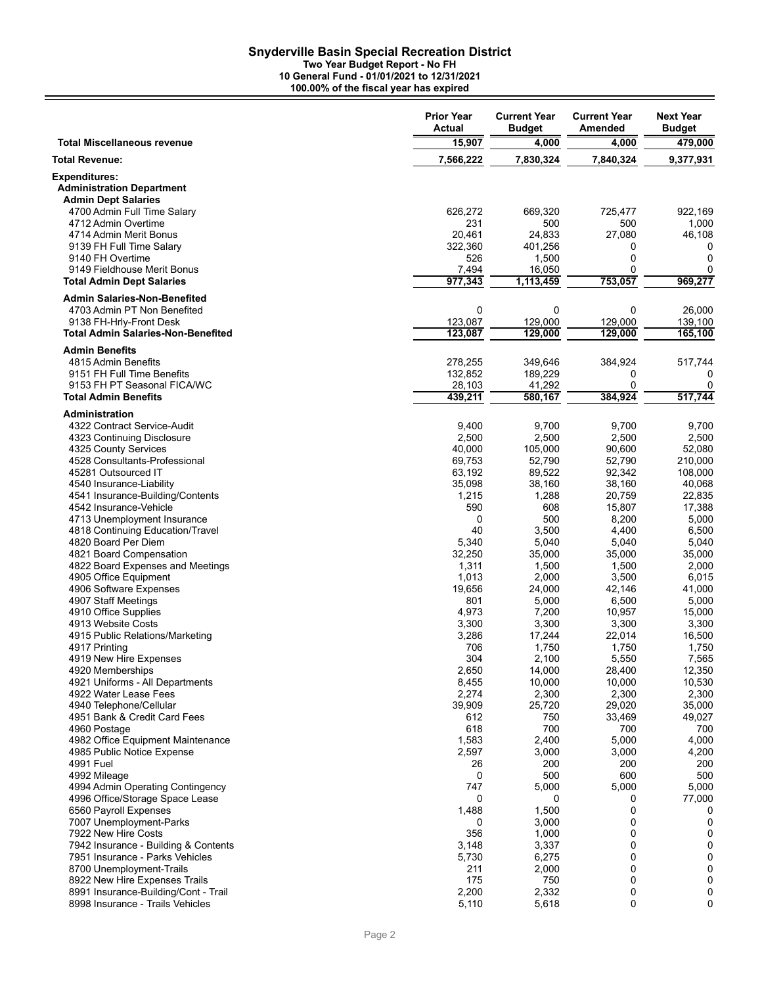**Two Year Budget Report - No FH**

**10 General Fund - 01/01/2021 to 12/31/2021**

**100.00% of the fiscal year has expired**

|                                                                 | <b>Prior Year</b><br>Actual | <b>Current Year</b><br><b>Budget</b> | <b>Current Year</b><br>Amended | <b>Next Year</b><br><b>Budget</b> |
|-----------------------------------------------------------------|-----------------------------|--------------------------------------|--------------------------------|-----------------------------------|
| <b>Total Miscellaneous revenue</b>                              | 15,907                      | 4,000                                | 4,000                          | 479,000                           |
| Total Revenue:                                                  | 7,566,222                   | 7,830,324                            | 7,840,324                      | 9,377,931                         |
| <b>Expenditures:</b><br><b>Administration Department</b>        |                             |                                      |                                |                                   |
| <b>Admin Dept Salaries</b>                                      |                             |                                      |                                |                                   |
| 4700 Admin Full Time Salary                                     | 626,272                     | 669,320                              | 725,477                        | 922,169                           |
| 4712 Admin Overtime<br>4714 Admin Merit Bonus                   | 231<br>20.461               | 500<br>24,833                        | 500<br>27,080                  | 1,000<br>46,108                   |
| 9139 FH Full Time Salary                                        | 322,360                     | 401,256                              | 0                              | 0                                 |
| 9140 FH Overtime                                                | 526                         | 1,500                                | 0                              | $\mathbf 0$                       |
| 9149 Fieldhouse Merit Bonus                                     | 7,494                       | 16,050                               | 0                              | 0                                 |
| <b>Total Admin Dept Salaries</b>                                | 977,343                     | 1,113,459                            | 753,057                        | 969,277                           |
| <b>Admin Salaries-Non-Benefited</b>                             |                             |                                      |                                |                                   |
| 4703 Admin PT Non Benefited<br>9138 FH-Hrly-Front Desk          | $\mathbf 0$<br>123,087      | $\mathbf 0$<br>129,000               | $\mathbf 0$<br>129,000         | 26,000<br>139,100                 |
| <b>Total Admin Salaries-Non-Benefited</b>                       | 123,087                     | 129,000                              | 129,000                        | 165,100                           |
| <b>Admin Benefits</b>                                           |                             |                                      |                                |                                   |
| 4815 Admin Benefits                                             | 278,255                     | 349,646                              | 384,924                        | 517,744                           |
| 9151 FH Full Time Benefits                                      | 132,852                     | 189,229                              | 0                              | 0                                 |
| 9153 FH PT Seasonal FICA/WC                                     | 28,103                      | 41,292                               | 0                              | 0                                 |
| <b>Total Admin Benefits</b>                                     | 439,211                     | 580,167                              | 384,924                        | 517,744                           |
| Administration                                                  |                             |                                      |                                |                                   |
| 4322 Contract Service-Audit<br>4323 Continuing Disclosure       | 9,400<br>2,500              | 9,700<br>2,500                       | 9,700<br>2,500                 | 9,700<br>2,500                    |
| 4325 County Services                                            | 40,000                      | 105,000                              | 90,600                         | 52,080                            |
| 4528 Consultants-Professional                                   | 69,753                      | 52,790                               | 52.790                         | 210,000                           |
| 45281 Outsourced IT                                             | 63,192                      | 89,522                               | 92,342                         | 108,000                           |
| 4540 Insurance-Liability                                        | 35,098                      | 38,160                               | 38,160                         | 40,068                            |
| 4541 Insurance-Building/Contents<br>4542 Insurance-Vehicle      | 1,215<br>590                | 1,288<br>608                         | 20,759<br>15,807               | 22,835<br>17,388                  |
| 4713 Unemployment Insurance                                     | 0                           | 500                                  | 8,200                          | 5,000                             |
| 4818 Continuing Education/Travel                                | 40                          | 3,500                                | 4,400                          | 6,500                             |
| 4820 Board Per Diem                                             | 5,340                       | 5,040                                | 5,040                          | 5,040                             |
| 4821 Board Compensation<br>4822 Board Expenses and Meetings     | 32,250<br>1,311             | 35,000<br>1,500                      | 35,000<br>1,500                | 35,000<br>2,000                   |
| 4905 Office Equipment                                           | 1,013                       | 2,000                                | 3,500                          | 6,015                             |
| 4906 Software Expenses                                          | 19,656                      | 24,000                               | 42,146                         | 41,000                            |
| 4907 Staff Meetings                                             | 801                         | 5,000                                | 6,500                          | 5,000                             |
| 4910 Office Supplies<br>4913 Website Costs                      | 4,973<br>3,300              | 7,200<br>3,300                       | 10,957<br>3,300                | 15,000<br>3,300                   |
| 4915 Public Relations/Marketing                                 | 3,286                       | 17,244                               | 22,014                         | 16,500                            |
| 4917 Printing                                                   | 706                         | 1,750                                | 1,750                          | 1,750                             |
| 4919 New Hire Expenses                                          | 304                         | 2,100                                | 5,550                          | 7,565                             |
| 4920 Memberships<br>4921 Uniforms - All Departments             | 2,650                       | 14,000                               | 28,400                         | 12,350                            |
| 4922 Water Lease Fees                                           | 8,455<br>2,274              | 10,000<br>2,300                      | 10,000<br>2,300                | 10,530<br>2,300                   |
| 4940 Telephone/Cellular                                         | 39,909                      | 25,720                               | 29,020                         | 35,000                            |
| 4951 Bank & Credit Card Fees                                    | 612                         | 750                                  | 33,469                         | 49,027                            |
| 4960 Postage                                                    | 618                         | 700                                  | 700                            | 700                               |
| 4982 Office Equipment Maintenance<br>4985 Public Notice Expense | 1,583<br>2,597              | 2,400<br>3,000                       | 5,000<br>3,000                 | 4,000<br>4,200                    |
| 4991 Fuel                                                       | 26                          | 200                                  | 200                            | 200                               |
| 4992 Mileage                                                    | $\mathbf 0$                 | 500                                  | 600                            | 500                               |
| 4994 Admin Operating Contingency                                | 747                         | 5,000                                | 5,000                          | 5,000                             |
| 4996 Office/Storage Space Lease<br>6560 Payroll Expenses        | 0<br>1,488                  | 0<br>1,500                           | 0<br>0                         | 77,000<br>0                       |
| 7007 Unemployment-Parks                                         | 0                           | 3,000                                | 0                              | 0                                 |
| 7922 New Hire Costs                                             | 356                         | 1,000                                | 0                              | 0                                 |
| 7942 Insurance - Building & Contents                            | 3,148                       | 3,337                                | 0                              | 0                                 |
| 7951 Insurance - Parks Vehicles<br>8700 Unemployment-Trails     | 5,730<br>211                | 6,275<br>2,000                       | $\mathbf 0$<br>0               | 0<br>0                            |
| 8922 New Hire Expenses Trails                                   | 175                         | 750                                  | 0                              | 0                                 |
| 8991 Insurance-Building/Cont - Trail                            | 2,200                       | 2,332                                | 0                              | 0                                 |
| 8998 Insurance - Trails Vehicles                                | 5,110                       | 5,618                                | 0                              | 0                                 |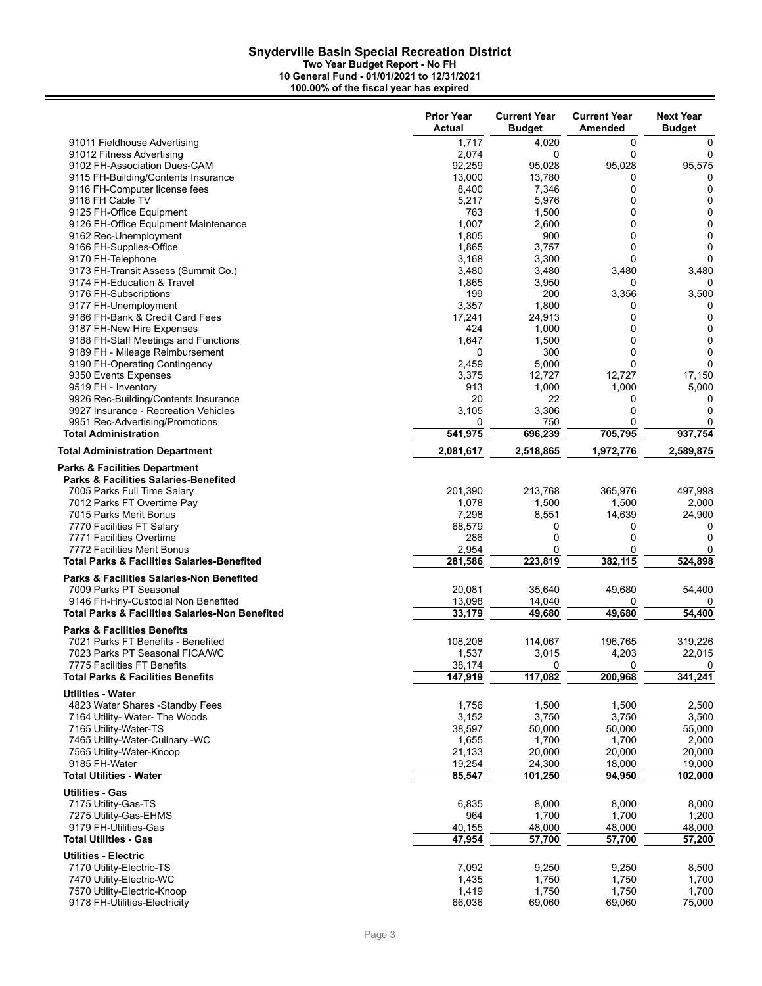**Two Year Budget Report - No FH**

|                                                                                                                             | <b>Prior Year</b><br>Actual | <b>Current Year</b><br><b>Budget</b> | <b>Current Year</b><br>Amended | <b>Next Year</b><br><b>Budget</b> |
|-----------------------------------------------------------------------------------------------------------------------------|-----------------------------|--------------------------------------|--------------------------------|-----------------------------------|
| 91011 Fieldhouse Advertising                                                                                                | 1,717                       | 4,020                                | 0                              | 0                                 |
| 91012 Fitness Advertising                                                                                                   | 2,074                       | 0                                    | 0                              | 0                                 |
| 9102 FH-Association Dues-CAM                                                                                                | 92,259                      | 95,028                               | 95,028                         | 95,575                            |
| 9115 FH-Building/Contents Insurance                                                                                         | 13,000                      | 13,780                               | 0                              | 0                                 |
| 9116 FH-Computer license fees                                                                                               | 8,400                       | 7,346                                | 0                              | 0                                 |
| 9118 FH Cable TV                                                                                                            | 5,217                       | 5,976                                | 0                              | 0                                 |
| 9125 FH-Office Equipment                                                                                                    | 763                         | 1,500                                | 0                              | 0                                 |
| 9126 FH-Office Equipment Maintenance                                                                                        | 1,007                       | 2,600                                | 0                              | $\mathbf 0$                       |
| 9162 Rec-Unemployment                                                                                                       | 1,805                       | 900                                  | 0                              | $\mathbf 0$                       |
| 9166 FH-Supplies-Office                                                                                                     | 1,865                       | 3,757                                | 0                              | 0                                 |
| 9170 FH-Telephone                                                                                                           | 3,168                       | 3,300                                | 0                              | $\Omega$                          |
| 9173 FH-Transit Assess (Summit Co.)                                                                                         | 3,480                       | 3,480                                | 3,480                          | 3,480                             |
| 9174 FH-Education & Travel                                                                                                  | 1,865                       | 3,950                                | 0                              | O                                 |
| 9176 FH-Subscriptions                                                                                                       | 199                         | 200                                  | 3,356                          | 3,500                             |
| 9177 FH-Unemployment                                                                                                        | 3,357                       | 1,800                                | 0                              | 0                                 |
| 9186 FH-Bank & Credit Card Fees                                                                                             | 17,241                      | 24,913                               | 0                              | 0                                 |
| 9187 FH-New Hire Expenses                                                                                                   | 424                         | 1,000                                | 0                              | 0                                 |
| 9188 FH-Staff Meetings and Functions                                                                                        | 1,647                       | 1,500                                | 0                              | 0                                 |
| 9189 FH - Mileage Reimbursement                                                                                             | 0                           | 300                                  | 0                              | 0                                 |
| 9190 FH-Operating Contingency                                                                                               | 2,459                       | 5,000                                | 0                              | $\Omega$                          |
| 9350 Events Expenses                                                                                                        | 3,375                       | 12,727                               | 12,727                         | 17,150                            |
| 9519 FH - Inventory                                                                                                         | 913                         | 1,000                                | 1,000                          | 5,000                             |
| 9926 Rec-Building/Contents Insurance                                                                                        | 20                          | 22                                   | 0                              | 0                                 |
| 9927 Insurance - Recreation Vehicles                                                                                        | 3,105                       | 3,306                                | 0                              | $\mathbf 0$                       |
| 9951 Rec-Advertising/Promotions                                                                                             | 0                           | 750                                  | 0                              | 0                                 |
| <b>Total Administration</b>                                                                                                 | 541,975                     | 696,239                              | 705,795                        | 937,754                           |
| <b>Total Administration Department</b>                                                                                      | 2,081,617                   | 2,518,865                            | 1,972,776                      | 2,589,875                         |
| <b>Parks &amp; Facilities Department</b><br><b>Parks &amp; Facilities Salaries-Benefited</b><br>7005 Parks Full Time Salary | 201,390                     | 213,768                              | 365,976                        | 497,998                           |
| 7012 Parks FT Overtime Pay                                                                                                  | 1,078                       | 1,500                                | 1,500                          | 2,000                             |
| 7015 Parks Merit Bonus                                                                                                      | 7,298                       | 8,551                                | 14,639                         | 24,900                            |
| 7770 Facilities FT Salary                                                                                                   | 68,579                      | 0                                    | 0                              | 0                                 |
| 7771 Facilities Overtime                                                                                                    | 286                         | $\mathbf 0$                          | 0                              | $\Omega$                          |
| 7772 Facilities Merit Bonus                                                                                                 | 2,954                       | $\Omega$                             | 0                              | 0                                 |
| <b>Total Parks &amp; Facilities Salaries-Benefited</b>                                                                      | 281,586                     | 223,819                              | 382,115                        | 524,898                           |
| <b>Parks &amp; Facilities Salaries-Non Benefited</b>                                                                        |                             |                                      |                                |                                   |
| 7009 Parks PT Seasonal                                                                                                      | 20,081                      | 35,640                               | 49,680                         | 54,400                            |
| 9146 FH-Hrly-Custodial Non Benefited                                                                                        | 13,098                      | 14,040                               | 0                              | 0                                 |
| <b>Total Parks &amp; Facilities Salaries-Non Benefited</b>                                                                  | 33,179                      | 49,680                               | 49,680                         | 54,400                            |
| <b>Parks &amp; Facilities Benefits</b>                                                                                      |                             |                                      |                                |                                   |
| 7021 Parks FT Benefits - Benefited                                                                                          | 108,208                     | 114,067                              | 196,765                        | 319,226                           |
| 7023 Parks PT Seasonal FICA/WC                                                                                              | 1,537                       | 3,015                                | 4,203                          | 22,015                            |
| 7775 Facilities FT Benefits                                                                                                 | 38,174                      | $\Omega$                             | 0                              | 0                                 |
| <b>Total Parks &amp; Facilities Benefits</b>                                                                                | 147,919                     | 117,082                              | 200,968                        | 341,241                           |
| <b>Utilities - Water</b>                                                                                                    |                             |                                      |                                |                                   |
| 4823 Water Shares -Standby Fees                                                                                             | 1,756                       | 1,500                                | 1,500                          | 2,500                             |
| 7164 Utility- Water- The Woods                                                                                              | 3,152                       | 3,750                                | 3,750                          | 3,500                             |
| 7165 Utility-Water-TS                                                                                                       | 38,597                      | 50,000                               | 50,000                         | 55,000                            |
| 7465 Utility-Water-Culinary -WC                                                                                             | 1,655                       | 1,700                                | 1,700                          | 2,000                             |
| 7565 Utility-Water-Knoop                                                                                                    | 21,133                      | 20,000                               | 20,000                         | 20,000                            |
| 9185 FH-Water                                                                                                               | 19,254                      | 24,300                               | 18,000                         | 19,000                            |
| <b>Total Utilities - Water</b>                                                                                              | 85,547                      | 101,250                              | 94,950                         | 102,000                           |
| <b>Utilities - Gas</b>                                                                                                      |                             |                                      |                                |                                   |
| 7175 Utility-Gas-TS                                                                                                         | 6,835                       | 8,000                                | 8,000                          | 8,000                             |
| 7275 Utility-Gas-EHMS                                                                                                       | 964                         | 1,700                                | 1,700                          | 1,200                             |
| 9179 FH-Utilities-Gas                                                                                                       | 40,155                      | 48,000                               | 48,000                         | 48,000                            |
| <b>Total Utilities - Gas</b>                                                                                                | 47,954                      | 57,700                               | 57,700                         | 57,200                            |
| <b>Utilities - Electric</b>                                                                                                 |                             |                                      |                                |                                   |
| 7170 Utility-Electric-TS                                                                                                    | 7,092                       | 9,250                                | 9,250                          | 8,500                             |
| 7470 Utility-Electric-WC                                                                                                    | 1,435                       | 1,750                                | 1,750                          | 1,700                             |
| 7570 Utility-Electric-Knoop                                                                                                 | 1,419                       | 1,750                                | 1,750                          | 1,700                             |
| 9178 FH-Utilities-Electricity                                                                                               | 66,036                      | 69,060                               | 69,060                         | 75,000                            |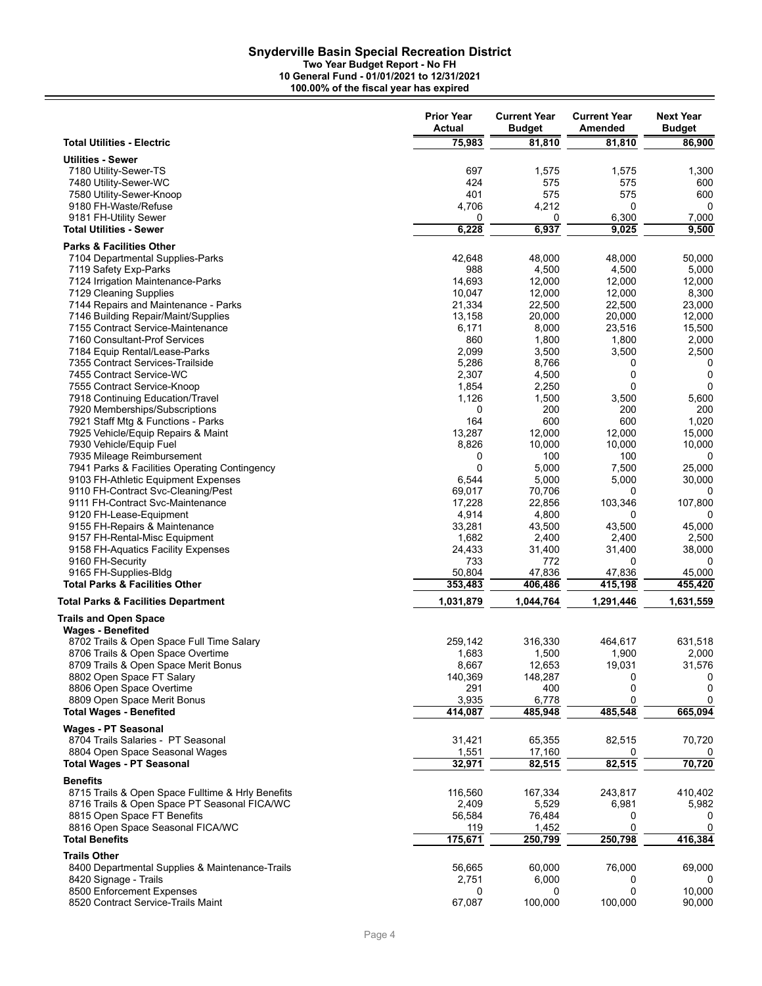**Two Year Budget Report - No FH**

|                                                                             | <b>Prior Year</b><br>Actual | <b>Current Year</b><br><b>Budget</b> | <b>Current Year</b><br>Amended | <b>Next Year</b><br><b>Budget</b> |
|-----------------------------------------------------------------------------|-----------------------------|--------------------------------------|--------------------------------|-----------------------------------|
| <b>Total Utilities - Electric</b>                                           | 75,983                      | 81,810                               | 81,810                         | 86,900                            |
| <b>Utilities - Sewer</b>                                                    |                             |                                      |                                |                                   |
| 7180 Utility-Sewer-TS                                                       | 697                         | 1,575                                | 1,575                          | 1,300                             |
| 7480 Utility-Sewer-WC                                                       | 424                         | 575                                  | 575                            | 600                               |
| 7580 Utility-Sewer-Knoop                                                    | 401                         | 575                                  | 575                            | 600                               |
| 9180 FH-Waste/Refuse                                                        | 4,706                       | 4,212                                | 0                              | 0                                 |
| 9181 FH-Utility Sewer                                                       | 0                           | 0                                    | 6,300                          | 7,000                             |
| <b>Total Utilities - Sewer</b>                                              | 6,228                       | 6,937                                | 9,025                          | 9,500                             |
| <b>Parks &amp; Facilities Other</b>                                         |                             |                                      |                                |                                   |
| 7104 Departmental Supplies-Parks                                            | 42,648                      | 48,000                               | 48,000                         | 50,000                            |
| 7119 Safety Exp-Parks<br>7124 Irrigation Maintenance-Parks                  | 988<br>14,693               | 4,500<br>12,000                      | 4,500<br>12,000                | 5,000<br>12,000                   |
| 7129 Cleaning Supplies                                                      | 10,047                      | 12,000                               | 12,000                         | 8,300                             |
| 7144 Repairs and Maintenance - Parks                                        | 21,334                      | 22,500                               | 22,500                         | 23,000                            |
| 7146 Building Repair/Maint/Supplies                                         | 13,158                      | 20,000                               | 20,000                         | 12,000                            |
| 7155 Contract Service-Maintenance                                           | 6,171                       | 8,000                                | 23,516                         | 15,500                            |
| 7160 Consultant-Prof Services                                               | 860                         | 1,800                                | 1,800                          | 2,000                             |
| 7184 Equip Rental/Lease-Parks                                               | 2,099                       | 3,500                                | 3,500                          | 2,500                             |
| 7355 Contract Services-Trailside                                            | 5,286                       | 8,766                                | 0                              | 0                                 |
| 7455 Contract Service-WC                                                    | 2,307                       | 4,500                                | 0                              | 0                                 |
| 7555 Contract Service-Knoop                                                 | 1,854                       | 2,250                                | 0                              | 0                                 |
| 7918 Continuing Education/Travel<br>7920 Memberships/Subscriptions          | 1,126<br>0                  | 1,500<br>200                         | 3,500<br>200                   | 5,600<br>200                      |
| 7921 Staff Mtg & Functions - Parks                                          | 164                         | 600                                  | 600                            | 1,020                             |
| 7925 Vehicle/Equip Repairs & Maint                                          | 13,287                      | 12,000                               | 12,000                         | 15,000                            |
| 7930 Vehicle/Equip Fuel                                                     | 8,826                       | 10,000                               | 10,000                         | 10,000                            |
| 7935 Mileage Reimbursement                                                  | 0                           | 100                                  | 100                            | 0                                 |
| 7941 Parks & Facilities Operating Contingency                               | 0                           | 5,000                                | 7,500                          | 25,000                            |
| 9103 FH-Athletic Equipment Expenses                                         | 6,544                       | 5,000                                | 5,000                          | 30,000                            |
| 9110 FH-Contract Svc-Cleaning/Pest                                          | 69,017                      | 70,706                               | 0                              | 0                                 |
| 9111 FH-Contract Svc-Maintenance                                            | 17,228                      | 22,856                               | 103,346                        | 107,800                           |
| 9120 FH-Lease-Equipment                                                     | 4,914<br>33,281             | 4,800<br>43,500                      | 0<br>43,500                    | 0<br>45,000                       |
| 9155 FH-Repairs & Maintenance<br>9157 FH-Rental-Misc Equipment              | 1,682                       | 2,400                                | 2,400                          | 2,500                             |
| 9158 FH-Aquatics Facility Expenses                                          | 24,433                      | 31,400                               | 31,400                         | 38,000                            |
| 9160 FH-Security                                                            | 733                         | 772                                  | 0                              | 0                                 |
| 9165 FH-Supplies-Bldg                                                       | 50,804                      | 47,836                               | 47,836                         | 45,000                            |
| <b>Total Parks &amp; Facilities Other</b>                                   | 353,483                     | 406,486                              | 415,198                        | 455,420                           |
| <b>Total Parks &amp; Facilities Department</b>                              | 1,031,879                   | 1,044,764                            | 1,291,446                      | 1,631,559                         |
| <b>Trails and Open Space</b>                                                |                             |                                      |                                |                                   |
| <b>Wages - Benefited</b>                                                    |                             |                                      |                                |                                   |
| 8702 Trails & Open Space Full Time Salary                                   | 259,142                     | 316,330                              | 464.617                        | 631,518                           |
| 8706 Trails & Open Space Overtime                                           | 1,683                       | 1,500                                | 1,900                          | 2,000                             |
| 8709 Trails & Open Space Merit Bonus                                        | 8,667                       | 12,653                               | 19,031                         | 31,576                            |
| 8802 Open Space FT Salary                                                   | 140,369                     | 148,287                              | 0                              | 0                                 |
| 8806 Open Space Overtime                                                    | 291<br>3,935                | 400<br>6,778                         | 0<br>0                         | 0<br>0                            |
| 8809 Open Space Merit Bonus<br><b>Total Wages - Benefited</b>               | 414,087                     | 485,948                              | 485,548                        | 665,094                           |
|                                                                             |                             |                                      |                                |                                   |
| <b>Wages - PT Seasonal</b>                                                  |                             |                                      |                                |                                   |
| 8704 Trails Salaries - PT Seasonal                                          | 31,421                      | 65,355                               | 82,515                         | 70,720                            |
| 8804 Open Space Seasonal Wages<br><b>Total Wages - PT Seasonal</b>          | 1,551<br>32,971             | 17,160<br>82,515                     | 82,515                         | 70,720                            |
|                                                                             |                             |                                      |                                |                                   |
| <b>Benefits</b>                                                             |                             |                                      |                                |                                   |
| 8715 Trails & Open Space Fulltime & Hrly Benefits                           | 116,560                     | 167,334                              | 243,817                        | 410,402                           |
| 8716 Trails & Open Space PT Seasonal FICA/WC<br>8815 Open Space FT Benefits | 2,409<br>56,584             | 5,529<br>76,484                      | 6,981<br>0                     | 5,982<br>0                        |
| 8816 Open Space Seasonal FICA/WC                                            | 119                         | 1,452                                | 0                              | 0                                 |
| <b>Total Benefits</b>                                                       | 175,671                     | 250,799                              | 250,798                        | 416,384                           |
|                                                                             |                             |                                      |                                |                                   |
| <b>Trails Other</b><br>8400 Departmental Supplies & Maintenance-Trails      | 56,665                      | 60,000                               | 76,000                         | 69,000                            |
| 8420 Signage - Trails                                                       | 2,751                       | 6,000                                | 0                              |                                   |
| 8500 Enforcement Expenses                                                   | 0                           | 0                                    | 0                              | 10,000                            |
| 8520 Contract Service-Trails Maint                                          | 67,087                      | 100,000                              | 100,000                        | 90,000                            |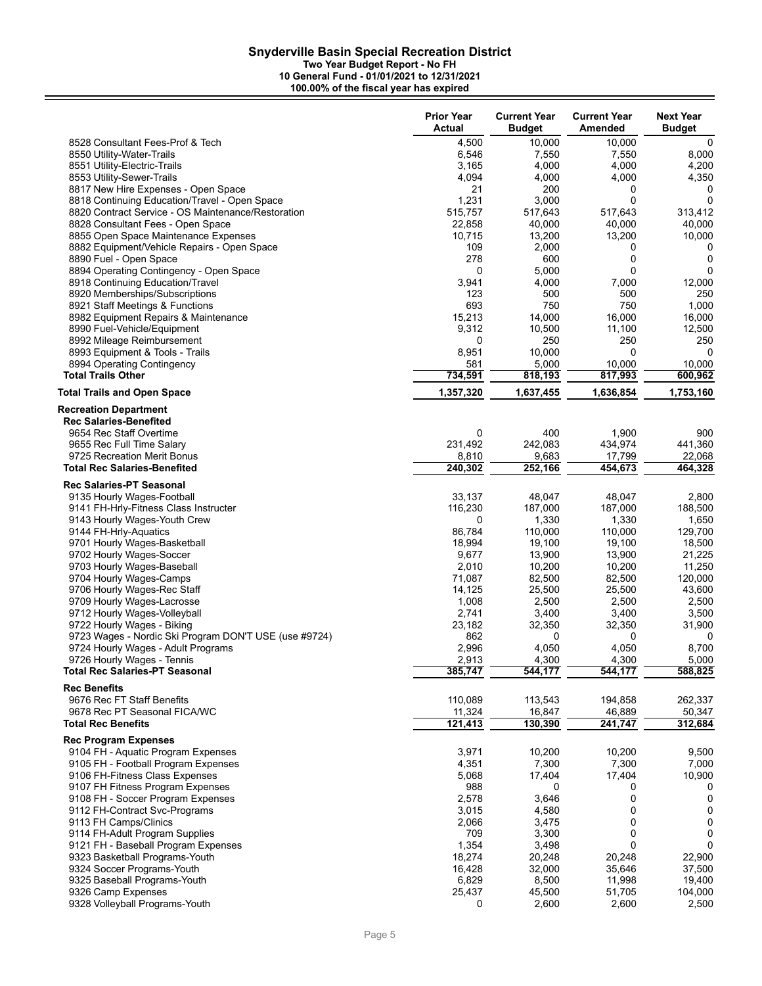**Two Year Budget Report - No FH**

|                                                                    | <b>Prior Year</b><br>Actual | <b>Current Year</b><br><b>Budget</b> | <b>Current Year</b><br>Amended | <b>Next Year</b><br><b>Budget</b> |
|--------------------------------------------------------------------|-----------------------------|--------------------------------------|--------------------------------|-----------------------------------|
| 8528 Consultant Fees-Prof & Tech                                   | 4,500                       | 10,000                               | 10,000                         | 0                                 |
| 8550 Utility-Water-Trails                                          | 6,546                       | 7,550                                | 7,550                          | 8,000                             |
| 8551 Utility-Electric-Trails                                       | 3,165                       | 4,000                                | 4,000                          | 4,200                             |
| 8553 Utility-Sewer-Trails                                          | 4,094                       | 4,000                                | 4,000                          | 4,350                             |
| 8817 New Hire Expenses - Open Space                                | 21                          | 200                                  | 0                              | 0                                 |
| 8818 Continuing Education/Travel - Open Space                      | 1,231                       | 3,000                                | 0                              | 0                                 |
| 8820 Contract Service - OS Maintenance/Restoration                 | 515,757                     | 517,643                              | 517,643                        | 313,412                           |
| 8828 Consultant Fees - Open Space                                  | 22,858                      | 40,000                               | 40,000                         | 40,000                            |
| 8855 Open Space Maintenance Expenses                               | 10,715                      | 13,200                               | 13,200                         | 10,000                            |
| 8882 Equipment/Vehicle Repairs - Open Space                        | 109                         | 2,000                                | 0                              | 0                                 |
| 8890 Fuel - Open Space                                             | 278                         | 600                                  | 0                              | 0                                 |
| 8894 Operating Contingency - Open Space                            | 0                           | 5,000                                | 0                              | 0                                 |
| 8918 Continuing Education/Travel                                   | 3,941                       | 4,000                                | 7,000                          | 12,000                            |
| 8920 Memberships/Subscriptions                                     | 123                         | 500                                  | 500                            | 250                               |
| 8921 Staff Meetings & Functions                                    | 693                         | 750                                  | 750                            | 1,000                             |
| 8982 Equipment Repairs & Maintenance                               | 15,213                      | 14,000                               | 16,000                         | 16,000                            |
| 8990 Fuel-Vehicle/Equipment                                        | 9,312                       | 10,500                               | 11,100                         | 12,500                            |
| 8992 Mileage Reimbursement                                         | 0                           | 250                                  | 250<br>0                       | 250                               |
| 8993 Equipment & Tools - Trails                                    | 8,951<br>581                | 10,000<br>5,000                      | 10,000                         | 0<br>10,000                       |
| 8994 Operating Contingency<br><b>Total Trails Other</b>            | 734,591                     |                                      |                                |                                   |
| <b>Total Trails and Open Space</b>                                 | 1,357,320                   | 818,193<br>1,637,455                 | 817,993<br>1,636,854           | 600,962<br>1,753,160              |
| <b>Recreation Department</b>                                       |                             |                                      |                                |                                   |
| <b>Rec Salaries-Benefited</b>                                      |                             |                                      |                                |                                   |
| 9654 Rec Staff Overtime                                            | 0                           | 400                                  | 1,900                          | 900                               |
| 9655 Rec Full Time Salary                                          | 231,492                     | 242,083                              | 434,974                        | 441,360                           |
| 9725 Recreation Merit Bonus                                        | 8,810                       | 9,683                                | 17,799                         | 22,068                            |
| <b>Total Rec Salaries-Benefited</b>                                | 240,302                     | 252,166                              | 454,673                        | 464,328                           |
| <b>Rec Salaries-PT Seasonal</b>                                    |                             |                                      |                                |                                   |
| 9135 Hourly Wages-Football                                         | 33,137                      | 48,047                               | 48,047                         | 2,800                             |
| 9141 FH-Hrly-Fitness Class Instructer                              | 116,230                     | 187,000                              | 187,000                        | 188,500                           |
| 9143 Hourly Wages-Youth Crew                                       | 0                           | 1,330                                | 1,330                          | 1,650                             |
| 9144 FH-Hrly-Aquatics                                              | 86,784                      | 110,000                              | 110,000                        | 129,700                           |
| 9701 Hourly Wages-Basketball                                       | 18,994                      | 19,100                               | 19,100                         | 18,500                            |
| 9702 Hourly Wages-Soccer                                           | 9,677                       | 13,900                               | 13,900                         | 21,225                            |
| 9703 Hourly Wages-Baseball                                         | 2,010                       | 10,200                               | 10,200                         | 11,250                            |
| 9704 Hourly Wages-Camps                                            | 71,087<br>14,125            | 82,500<br>25,500                     | 82,500<br>25,500               | 120,000<br>43,600                 |
| 9706 Hourly Wages-Rec Staff<br>9709 Hourly Wages-Lacrosse          | 1,008                       |                                      |                                |                                   |
| 9712 Hourly Wages-Volleyball                                       | 2,741                       | 2,500<br>3,400                       | 2,500<br>3,400                 | 2,500<br>3,500                    |
| 9722 Hourly Wages - Biking                                         | 23,182                      | 32,350                               | 32,350                         | 31,900                            |
| 9723 Wages - Nordic Ski Program DON'T USE (use #9724)              | 862                         | 0                                    | 0                              | 0                                 |
| 9724 Hourly Wages - Adult Programs                                 | 2,996                       | 4,050                                | 4,050                          | 8,700                             |
| 9726 Hourly Wages - Tennis                                         | 2,913                       | 4,300                                | 4,300                          | 5,000                             |
| <b>Total Rec Salaries-PT Seasonal</b>                              | 385,747                     | 544,177                              | 544,177                        | 588,825                           |
| <b>Rec Benefits</b>                                                |                             |                                      |                                |                                   |
| 9676 Rec FT Staff Benefits                                         | 110,089                     | 113,543                              | 194,858                        | 262,337                           |
| 9678 Rec PT Seasonal FICA/WC                                       | 11,324                      | 16,847                               | 46,889                         | 50,347                            |
| <b>Total Rec Benefits</b>                                          | 121,413                     | 130,390                              | 241,747                        | 312,684                           |
| <b>Rec Program Expenses</b>                                        |                             |                                      |                                |                                   |
| 9104 FH - Aquatic Program Expenses                                 | 3,971                       | 10,200                               | 10,200                         | 9,500                             |
| 9105 FH - Football Program Expenses                                | 4,351                       | 7,300                                | 7,300                          | 7,000                             |
| 9106 FH-Fitness Class Expenses                                     | 5,068                       | 17,404                               | 17,404                         | 10,900                            |
| 9107 FH Fitness Program Expenses                                   | 988                         | 0                                    | 0                              | 0                                 |
| 9108 FH - Soccer Program Expenses<br>9112 FH-Contract Svc-Programs | 2,578<br>3,015              | 3,646<br>4,580                       | 0<br>0                         | 0<br>0                            |
| 9113 FH Camps/Clinics                                              | 2,066                       | 3,475                                | 0                              | 0                                 |
| 9114 FH-Adult Program Supplies                                     | 709                         | 3,300                                | 0                              | 0                                 |
| 9121 FH - Baseball Program Expenses                                | 1,354                       | 3,498                                | $\Omega$                       | $\Omega$                          |
| 9323 Basketball Programs-Youth                                     | 18,274                      | 20,248                               | 20,248                         | 22,900                            |
| 9324 Soccer Programs-Youth                                         | 16,428                      | 32,000                               | 35,646                         | 37,500                            |
| 9325 Baseball Programs-Youth                                       | 6,829                       | 8,500                                | 11,998                         | 19,400                            |
| 9326 Camp Expenses                                                 | 25,437                      | 45,500                               | 51,705                         | 104,000                           |
| 9328 Volleyball Programs-Youth                                     | 0                           | 2,600                                | 2,600                          | 2,500                             |
|                                                                    |                             |                                      |                                |                                   |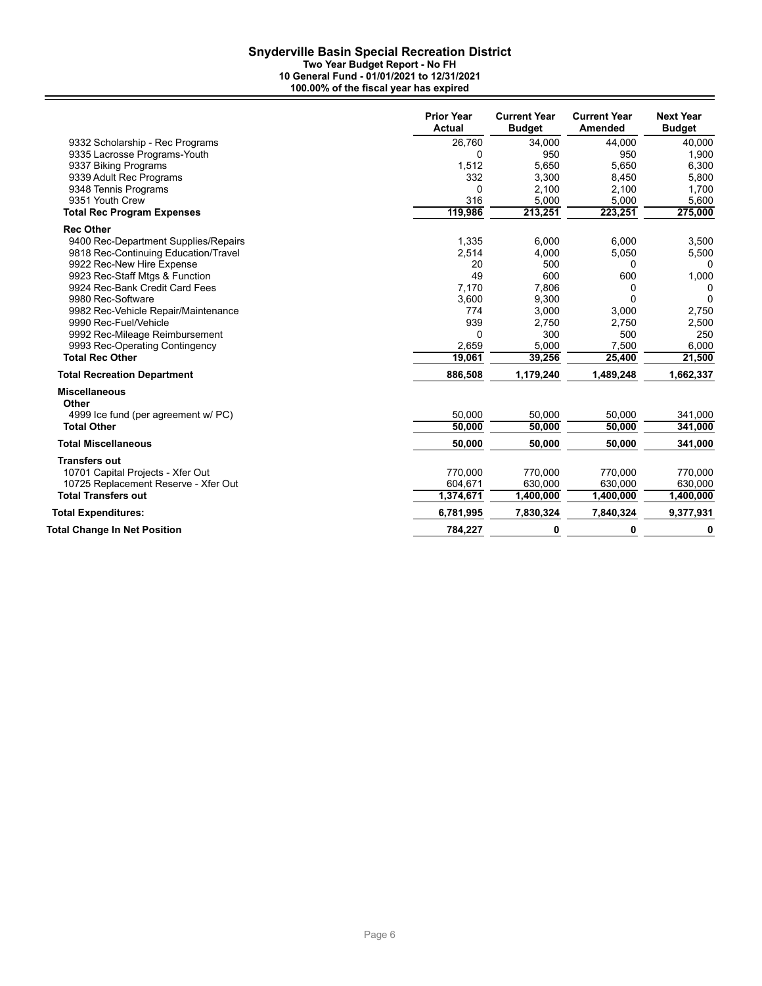**Two Year Budget Report - No FH**

|                                      | <b>Prior Year</b><br><b>Actual</b> | <b>Current Year</b><br><b>Budget</b> | <b>Current Year</b><br><b>Amended</b> | <b>Next Year</b><br><b>Budget</b> |
|--------------------------------------|------------------------------------|--------------------------------------|---------------------------------------|-----------------------------------|
| 9332 Scholarship - Rec Programs      | 26,760                             | 34,000                               | 44,000                                | 40.000                            |
| 9335 Lacrosse Programs-Youth         | 0                                  | 950                                  | 950                                   | 1,900                             |
| 9337 Biking Programs                 | 1,512                              | 5,650                                | 5,650                                 | 6,300                             |
| 9339 Adult Rec Programs              | 332                                | 3,300                                | 8,450                                 | 5,800                             |
| 9348 Tennis Programs                 | 0                                  | 2,100                                | 2,100                                 | 1,700                             |
| 9351 Youth Crew                      | 316                                | 5,000                                | 5,000                                 | 5,600                             |
| <b>Total Rec Program Expenses</b>    | 119,986                            | 213,251                              | 223,251                               | 275,000                           |
| <b>Rec Other</b>                     |                                    |                                      |                                       |                                   |
| 9400 Rec-Department Supplies/Repairs | 1,335                              | 6.000                                | 6.000                                 | 3,500                             |
| 9818 Rec-Continuing Education/Travel | 2,514                              | 4,000                                | 5,050                                 | 5,500                             |
| 9922 Rec-New Hire Expense            | 20                                 | 500                                  | $\Omega$                              | 0                                 |
| 9923 Rec-Staff Mtgs & Function       | 49                                 | 600                                  | 600                                   | 1,000                             |
| 9924 Rec-Bank Credit Card Fees       | 7,170                              | 7,806                                | 0                                     | 0                                 |
| 9980 Rec-Software                    | 3,600                              | 9,300                                | $\Omega$                              | $\Omega$                          |
| 9982 Rec-Vehicle Repair/Maintenance  | 774                                | 3,000                                | 3,000                                 | 2,750                             |
| 9990 Rec-Fuel/Vehicle                | 939                                | 2,750                                | 2,750                                 | 2,500                             |
| 9992 Rec-Mileage Reimbursement       | 0                                  | 300                                  | 500                                   | 250                               |
| 9993 Rec-Operating Contingency       | 2,659                              | 5,000                                | 7,500                                 | 6,000                             |
| <b>Total Rec Other</b>               | 19,061                             | 39,256                               | 25,400                                | 21,500                            |
| <b>Total Recreation Department</b>   | 886,508                            | 1,179,240                            | 1,489,248                             | 1,662,337                         |
| <b>Miscellaneous</b><br>Other        |                                    |                                      |                                       |                                   |
| 4999 Ice fund (per agreement w/ PC)  | 50,000                             | 50,000                               | 50,000                                | 341,000                           |
| <b>Total Other</b>                   | 50.000                             | 50.000                               | 50.000                                | 341,000                           |
| <b>Total Miscellaneous</b>           | 50,000                             | 50,000                               | 50,000                                | 341,000                           |
| <b>Transfers out</b>                 |                                    |                                      |                                       |                                   |
| 10701 Capital Projects - Xfer Out    | 770,000                            | 770,000                              | 770,000                               | 770,000                           |
| 10725 Replacement Reserve - Xfer Out | 604,671                            | 630,000                              | 630,000                               | 630,000                           |
| <b>Total Transfers out</b>           | 1,374,671                          | 1,400,000                            | 1,400,000                             | 1,400,000                         |
| <b>Total Expenditures:</b>           | 6,781,995                          | 7,830,324                            | 7,840,324                             | 9,377,931                         |
| <b>Total Change In Net Position</b>  | 784,227                            | 0                                    | 0                                     | 0                                 |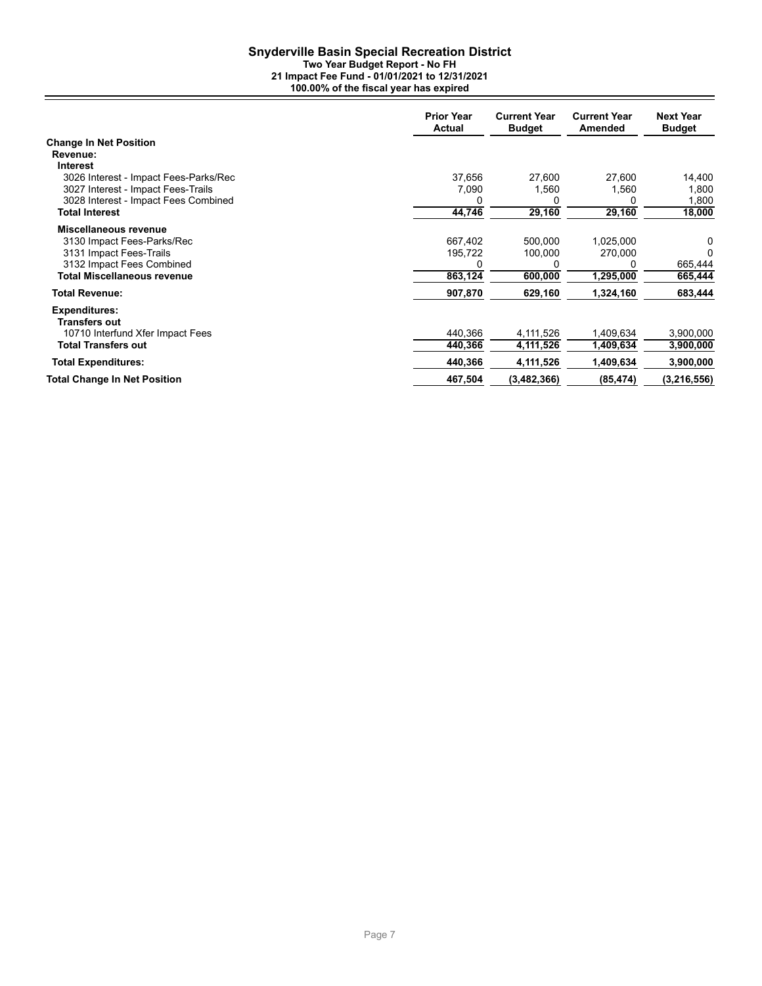### **Snyderville Basin Special Recreation District Two Year Budget Report - No FH**

|                                       | <b>Prior Year</b><br><b>Actual</b> | <b>Current Year</b><br><b>Budget</b> | <b>Current Year</b><br>Amended | <b>Next Year</b><br><b>Budget</b> |
|---------------------------------------|------------------------------------|--------------------------------------|--------------------------------|-----------------------------------|
| <b>Change In Net Position</b>         |                                    |                                      |                                |                                   |
| Revenue:                              |                                    |                                      |                                |                                   |
| Interest                              |                                    |                                      |                                |                                   |
| 3026 Interest - Impact Fees-Parks/Rec | 37,656                             | 27,600                               | 27,600                         | 14,400                            |
| 3027 Interest - Impact Fees-Trails    | 7,090                              | 1,560                                | 1,560                          | 1,800                             |
| 3028 Interest - Impact Fees Combined  |                                    |                                      |                                | 1,800                             |
| <b>Total Interest</b>                 | 44,746                             | 29,160                               | 29,160                         | 18,000                            |
| Miscellaneous revenue                 |                                    |                                      |                                |                                   |
| 3130 Impact Fees-Parks/Rec            | 667,402                            | 500.000                              | 1,025,000                      | 0                                 |
| 3131 Impact Fees-Trails               | 195,722                            | 100,000                              | 270,000                        | 0                                 |
| 3132 Impact Fees Combined             |                                    |                                      |                                | 665,444                           |
| <b>Total Miscellaneous revenue</b>    | 863,124                            | 600,000                              | 1,295,000                      | 665,444                           |
| <b>Total Revenue:</b>                 | 907,870                            | 629,160                              | 1,324,160                      | 683,444                           |
| <b>Expenditures:</b><br>Transfers out |                                    |                                      |                                |                                   |
| 10710 Interfund Xfer Impact Fees      | 440,366                            | 4,111,526                            | 1,409,634                      | 3,900,000                         |
| <b>Total Transfers out</b>            | 440,366                            | 4,111,526                            | 1,409,634                      | 3,900,000                         |
| <b>Total Expenditures:</b>            | 440,366                            | 4,111,526                            | 1,409,634                      | 3,900,000                         |
| <b>Total Change In Net Position</b>   | 467,504                            | (3, 482, 366)                        | (85, 474)                      | (3, 216, 556)                     |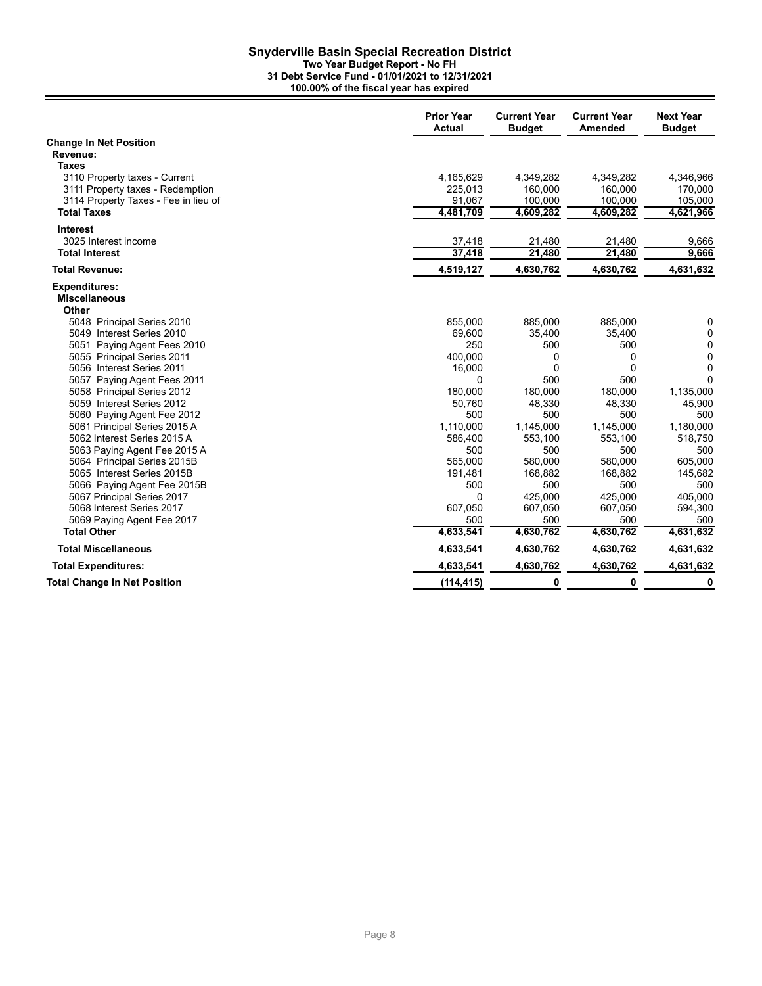### **Snyderville Basin Special Recreation District Two Year Budget Report - No FH 31 Debt Service Fund - 01/01/2021 to 12/31/2021**

**100.00% of the fiscal year has expired**

|                                                  | <b>Prior Year</b><br><b>Actual</b> | <b>Current Year</b><br><b>Budget</b> | <b>Current Year</b><br>Amended | <b>Next Year</b><br><b>Budget</b> |
|--------------------------------------------------|------------------------------------|--------------------------------------|--------------------------------|-----------------------------------|
| <b>Change In Net Position</b>                    |                                    |                                      |                                |                                   |
| Revenue:                                         |                                    |                                      |                                |                                   |
| Taxes                                            |                                    |                                      |                                |                                   |
| 3110 Property taxes - Current                    | 4,165,629                          | 4,349,282                            | 4,349,282                      | 4,346,966                         |
| 3111 Property taxes - Redemption                 | 225,013                            | 160,000                              | 160,000                        | 170,000                           |
| 3114 Property Taxes - Fee in lieu of             | 91,067                             | 100,000                              | 100,000                        | 105,000                           |
| <b>Total Taxes</b>                               | 4,481,709                          | 4,609,282                            | 4,609,282                      | 4,621,966                         |
| <b>Interest</b>                                  |                                    |                                      |                                |                                   |
| 3025 Interest income                             | 37,418                             | 21,480                               | 21,480                         | 9,666                             |
| <b>Total Interest</b>                            | 37,418                             | 21,480                               | 21,480                         | 9,666                             |
| <b>Total Revenue:</b>                            | 4,519,127                          | 4,630,762                            | 4,630,762                      | 4,631,632                         |
| <b>Expenditures:</b>                             |                                    |                                      |                                |                                   |
| <b>Miscellaneous</b>                             |                                    |                                      |                                |                                   |
| Other                                            |                                    |                                      |                                |                                   |
| 5048 Principal Series 2010                       | 855,000                            | 885,000                              | 885,000                        | 0                                 |
| 5049 Interest Series 2010                        | 69,600                             | 35,400                               | 35,400                         | $\mathbf 0$                       |
| 5051 Paying Agent Fees 2010                      | 250                                | 500                                  | 500                            | $\mathbf 0$                       |
| 5055 Principal Series 2011                       | 400,000                            | 0                                    | 0                              | $\mathbf 0$                       |
| 5056 Interest Series 2011                        | 16,000                             | 0                                    | $\Omega$                       | $\mathbf 0$                       |
| 5057 Paying Agent Fees 2011                      | 0                                  | 500                                  | 500                            | $\Omega$                          |
| 5058 Principal Series 2012                       | 180,000                            | 180,000                              | 180,000                        | 1,135,000                         |
| 5059 Interest Series 2012                        | 50,760                             | 48,330                               | 48,330                         | 45,900                            |
| 5060 Paying Agent Fee 2012                       | 500                                | 500                                  | 500                            | 500                               |
| 5061 Principal Series 2015 A                     | 1,110,000                          | 1,145,000                            | 1,145,000                      | 1,180,000                         |
| 5062 Interest Series 2015 A                      | 586,400                            | 553,100                              | 553,100                        | 518,750                           |
| 5063 Paying Agent Fee 2015 A                     | 500                                | 500                                  | 500                            | 500                               |
| 5064 Principal Series 2015B                      | 565,000                            | 580,000                              | 580,000                        | 605,000                           |
| 5065 Interest Series 2015B                       | 191,481                            | 168,882                              | 168,882                        | 145,682                           |
| 5066 Paying Agent Fee 2015B                      | 500                                | 500                                  | 500                            | 500                               |
| 5067 Principal Series 2017                       | 0                                  | 425,000                              | 425,000                        | 405,000                           |
| 5068 Interest Series 2017                        | 607,050                            | 607,050<br>500                       | 607,050                        | 594,300                           |
| 5069 Paying Agent Fee 2017<br><b>Total Other</b> | 500<br>4,633,541                   | 4,630,762                            | 500<br>4,630,762               | 500<br>4,631,632                  |
| <b>Total Miscellaneous</b>                       |                                    |                                      |                                |                                   |
|                                                  | 4,633,541                          | 4,630,762                            | 4,630,762                      | 4,631,632                         |
| <b>Total Expenditures:</b>                       | 4,633,541                          | 4,630,762                            | 4,630,762                      | 4,631,632                         |
| <b>Total Change In Net Position</b>              | (114, 415)                         | 0                                    | 0                              | 0                                 |